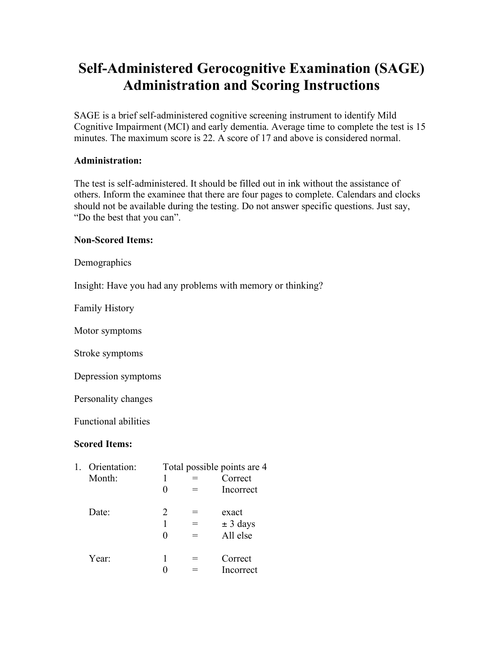## **Self-Administered Gerocognitive Examination (SAGE) Administration and Scoring Instructions**

SAGE is a brief self-administered cognitive screening instrument to identify Mild Cognitive Impairment (MCI) and early dementia. Average time to complete the test is 15 minutes. The maximum score is 22. A score of 17 and above is considered normal.

## **Administration:**

The test is self-administered. It should be filled out in ink without the assistance of others. Inform the examinee that there are four pages to complete. Calendars and clocks should not be available during the testing. Do not answer specific questions. Just say, "Do the best that you can".

## **Non-Scored Items:**

Demographics

Insight: Have you had any problems with memory or thinking?

Family History

Motor symptoms

Stroke symptoms

Depression symptoms

Personality changes

Functional abilities

## **Scored Items:**

| 1. | Orientation: |   | Total possible points are 4 |
|----|--------------|---|-----------------------------|
|    | Month:       |   | Correct                     |
|    |              |   | Incorrect                   |
|    | Date:        | 2 | exact                       |
|    |              |   | $\pm$ 3 days                |
|    |              |   | All else                    |
|    | Year:        |   | Correct                     |
|    |              |   | Incorrect                   |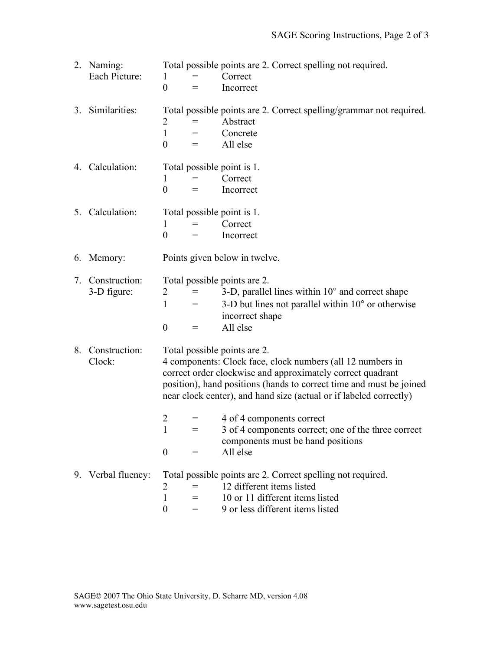|    | 2. Naming:<br>Each Picture:  | Total possible points are 2. Correct spelling not required.<br>Correct<br>$\mathbf{1}$<br>$=$<br>$\theta$<br>Incorrect<br>$=$                                                                                                                                                                         |  |  |  |  |
|----|------------------------------|-------------------------------------------------------------------------------------------------------------------------------------------------------------------------------------------------------------------------------------------------------------------------------------------------------|--|--|--|--|
|    | 3. Similarities:             | Total possible points are 2. Correct spelling/grammar not required.<br>Abstract<br>2<br>$\mathbf{1}$<br>Concrete<br>$=$<br>$\overline{0}$<br>All else<br>$=$                                                                                                                                          |  |  |  |  |
|    | 4. Calculation:              | Total possible point is 1.<br>Correct<br>$\mathbf{1}$<br>$=$<br>$\overline{0}$<br>Incorrect<br>$=$                                                                                                                                                                                                    |  |  |  |  |
|    | 5. Calculation:              | Total possible point is 1.<br>Correct<br>$\mathbf{1}$<br>$=$<br>$\overline{0}$<br>Incorrect                                                                                                                                                                                                           |  |  |  |  |
|    | 6. Memory:                   | Points given below in twelve.                                                                                                                                                                                                                                                                         |  |  |  |  |
| 7. | Construction:<br>3-D figure: | Total possible points are 2.<br>3-D, parallel lines within 10° and correct shape<br>2<br>$=$<br>3-D but lines not parallel within $10^{\circ}$ or otherwise<br>$\mathbf{1}$<br>$=$<br>incorrect shape<br>All else<br>$\boldsymbol{0}$<br>$=$                                                          |  |  |  |  |
| 8. | Construction:<br>Clock:      | Total possible points are 2.<br>4 components: Clock face, clock numbers (all 12 numbers in<br>correct order clockwise and approximately correct quadrant<br>position), hand positions (hands to correct time and must be joined<br>near clock center), and hand size (actual or if labeled correctly) |  |  |  |  |
|    |                              | $\overline{2}$<br>4 of 4 components correct<br>$=$<br>$=$<br>3 of 4 components correct; one of the three correct<br>$\bf{l}$<br>components must be hand positions<br>$\overline{0}$<br>All else<br>$=$                                                                                                |  |  |  |  |
|    | 9. Verbal fluency:           | Total possible points are 2. Correct spelling not required.<br>12 different items listed<br>2<br>$=$<br>10 or 11 different items listed<br>1<br>$=$<br>9 or less different items listed<br>$\boldsymbol{0}$<br>$=$                                                                                    |  |  |  |  |